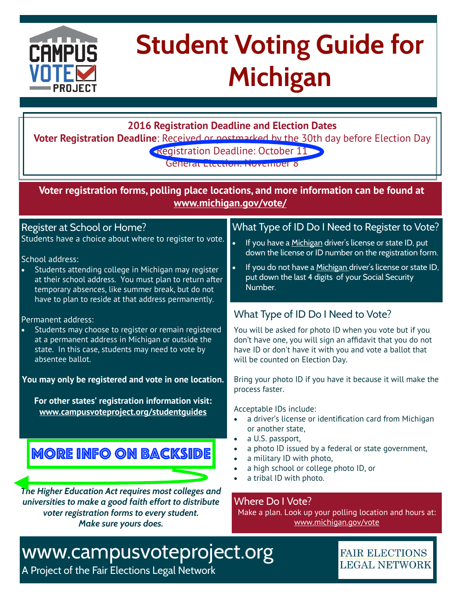

# **Student Voting Guide for Michigan**

**2016 Registration Deadline and Election Dates**

**Voter Registration Deadline**: Received or postmarked by the 30th day before Election Day **Registration Deadline: October 11** 

General Election: November 8

**Voter registration forms, polling place locations, and more information can be found at [www.michigan.gov/vote/](http://www.michigan.gov/vote/)**

#### Register at School or Home?

Students have a choice about where to register to vote.

#### School address:

Students attending college in Michigan may register at their school address. You must plan to return after temporary absences, like summer break, but do not have to plan to reside at that address permanently.

#### Permanent address:

Students may choose to register or remain registered at a permanent address in Michigan or outside the state. In this case, students may need to vote by absentee ballot.

**You may only be registered and vote in one location.**

**For other states' registration information visit: [www.campusvoteproject.org/studentguides](http://www.campusvoteproject.org/studentguides)**

### **MORE INFO ON BACKSIDE**

*The Higher Education Act requires most colleges and universities to make a good faith effort to distribute voter registration forms to every student. Make sure yours does.*

#### What Type of ID Do I Need to Register to Vote?

- If you have a Michigan driver's license or state ID, put down the license or ID number on the registration form.
- If you do not have a Michigan driver's license or state ID, put down the last 4 digits of your Social Security Number.

#### What Type of ID Do I Need to Vote?

You will be asked for photo ID when you vote but if you don't have one, you will sign an affdavit that you do not have ID or don't have it with you and vote a ballot that will be counted on Election Day.

Bring your photo ID if you have it because it will make the process faster.

Acceptable IDs include:

- a driver's license or identification card from Michigan or another state,
- a U.S. passport,
- a photo ID issued by a federal or state government,
- a military ID with photo,
- a high school or college photo ID, or
- a tribal ID with photo.

Where Do I Vote?

Make a plan. Look up your polling location and hours at: [www.michigan.gov/vote](http://www.michigan.gov/vote)

> **FAIR ELECTIONS LEGAL NETWORK**

### www.campusvoteproject.org

A Project of the Fair Elections Legal Network